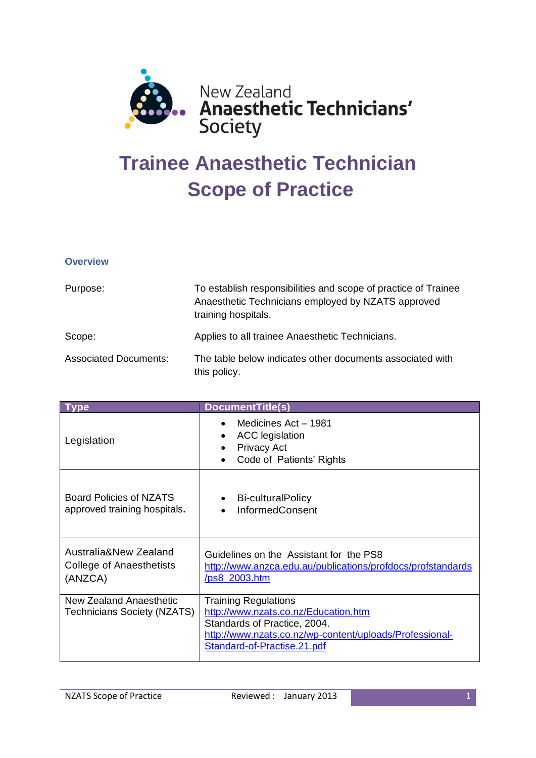

# **Trainee Anaesthetic Technician Scope of Practice**

## **Overview**

| Purpose:                     | To establish responsibilities and scope of practice of Trainee<br>Anaesthetic Technicians employed by NZATS approved<br>training hospitals. |
|------------------------------|---------------------------------------------------------------------------------------------------------------------------------------------|
| Scope:                       | Applies to all trainee Anaesthetic Technicians.                                                                                             |
| <b>Associated Documents:</b> | The table below indicates other documents associated with<br>this policy.                                                                   |

| Tvpe                                                                | <b>DocumentTitle(s)</b>                                                                                                                                                                       |
|---------------------------------------------------------------------|-----------------------------------------------------------------------------------------------------------------------------------------------------------------------------------------------|
| Legislation                                                         | Medicines Act - 1981<br><b>ACC</b> legislation<br>$\bullet$<br><b>Privacy Act</b><br>Code of Patients' Rights                                                                                 |
| Board Policies of NZATS<br>approved training hospitals.             | Bi-culturalPolicy<br><b>InformedConsent</b>                                                                                                                                                   |
| Australia&New Zealand<br><b>College of Anaesthetists</b><br>(ANZCA) | Guidelines on the Assistant for the PS8<br>http://www.anzca.edu.au/publications/profdocs/profstandards<br>/ps8_2003.htm                                                                       |
| New Zealand Anaesthetic<br><b>Technicians Society (NZATS)</b>       | <b>Training Regulations</b><br>http://www.nzats.co.nz/Education.htm<br>Standards of Practice, 2004.<br>http://www.nzats.co.nz/wp-content/uploads/Professional-<br>Standard-of-Practise.21.pdf |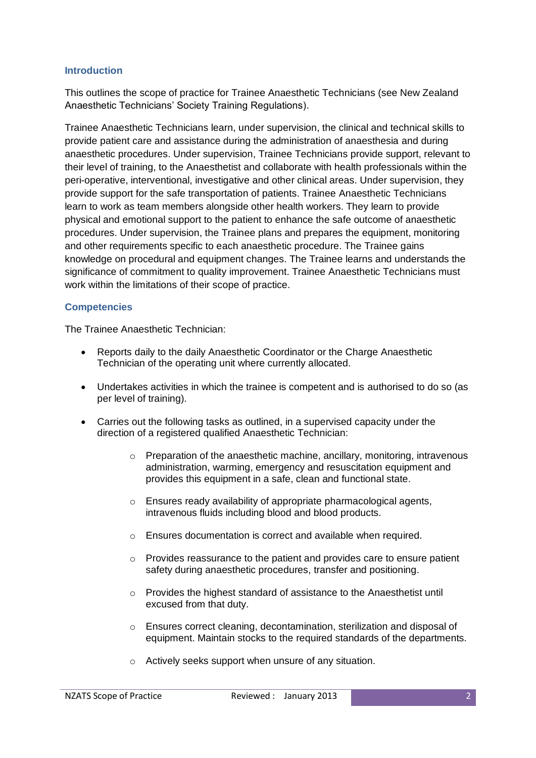### **Introduction**

This outlines the scope of practice for Trainee Anaesthetic Technicians (see New Zealand Anaesthetic Technicians' Society Training Regulations).

Trainee Anaesthetic Technicians learn, under supervision, the clinical and technical skills to provide patient care and assistance during the administration of anaesthesia and during anaesthetic procedures. Under supervision, Trainee Technicians provide support, relevant to their level of training, to the Anaesthetist and collaborate with health professionals within the peri-operative, interventional, investigative and other clinical areas. Under supervision, they provide support for the safe transportation of patients. Trainee Anaesthetic Technicians learn to work as team members alongside other health workers. They learn to provide physical and emotional support to the patient to enhance the safe outcome of anaesthetic procedures. Under supervision, the Trainee plans and prepares the equipment, monitoring and other requirements specific to each anaesthetic procedure. The Trainee gains knowledge on procedural and equipment changes. The Trainee learns and understands the significance of commitment to quality improvement. Trainee Anaesthetic Technicians must work within the limitations of their scope of practice.

# **Competencies**

The Trainee Anaesthetic Technician:

- Reports daily to the daily Anaesthetic Coordinator or the Charge Anaesthetic Technician of the operating unit where currently allocated.
- Undertakes activities in which the trainee is competent and is authorised to do so (as per level of training).
- Carries out the following tasks as outlined, in a supervised capacity under the direction of a registered qualified Anaesthetic Technician:
	- o Preparation of the anaesthetic machine, ancillary, monitoring, intravenous administration, warming, emergency and resuscitation equipment and provides this equipment in a safe, clean and functional state.
	- o Ensures ready availability of appropriate pharmacological agents, intravenous fluids including blood and blood products.
	- o Ensures documentation is correct and available when required.
	- $\circ$  Provides reassurance to the patient and provides care to ensure patient safety during anaesthetic procedures, transfer and positioning.
	- o Provides the highest standard of assistance to the Anaesthetist until excused from that duty.
	- o Ensures correct cleaning, decontamination, sterilization and disposal of equipment. Maintain stocks to the required standards of the departments.
	- o Actively seeks support when unsure of any situation.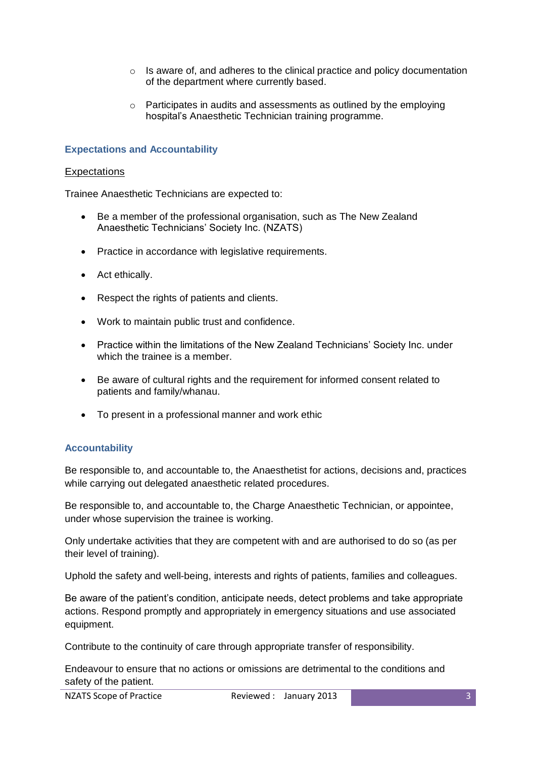- $\circ$  Is aware of, and adheres to the clinical practice and policy documentation of the department where currently based.
- o Participates in audits and assessments as outlined by the employing hospital's Anaesthetic Technician training programme.

## **Expectations and Accountability**

#### Expectations

Trainee Anaesthetic Technicians are expected to:

- Be a member of the professional organisation, such as The New Zealand Anaesthetic Technicians' Society Inc. (NZATS)
- Practice in accordance with legislative requirements.
- Act ethically.
- Respect the rights of patients and clients.
- Work to maintain public trust and confidence.
- Practice within the limitations of the New Zealand Technicians' Society Inc. under which the trainee is a member.
- Be aware of cultural rights and the requirement for informed consent related to patients and family/whanau.
- To present in a professional manner and work ethic

#### **Accountability**

Be responsible to, and accountable to, the Anaesthetist for actions, decisions and, practices while carrying out delegated anaesthetic related procedures.

Be responsible to, and accountable to, the Charge Anaesthetic Technician, or appointee, under whose supervision the trainee is working.

Only undertake activities that they are competent with and are authorised to do so (as per their level of training).

Uphold the safety and well-being, interests and rights of patients, families and colleagues.

Be aware of the patient's condition, anticipate needs, detect problems and take appropriate actions. Respond promptly and appropriately in emergency situations and use associated equipment.

Contribute to the continuity of care through appropriate transfer of responsibility.

Endeavour to ensure that no actions or omissions are detrimental to the conditions and safety of the patient.